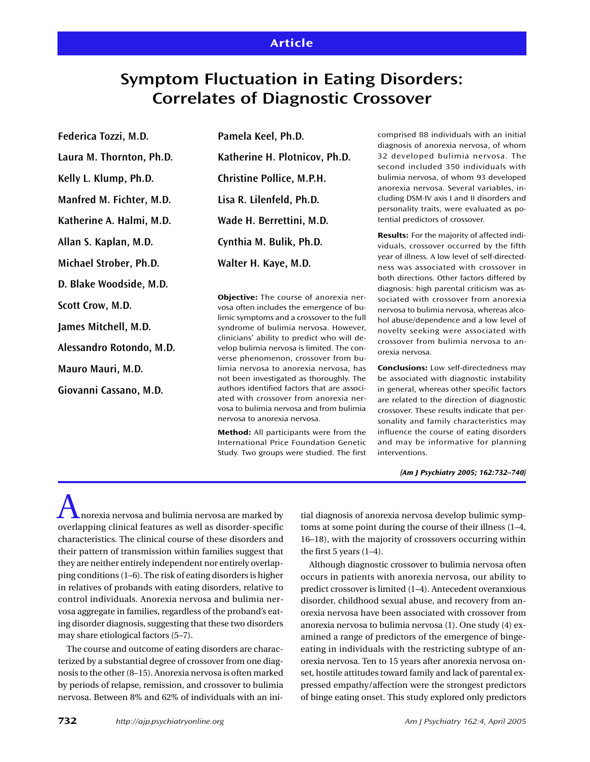# **Symptom Fluctuation in Eating Disorders: Correlates of Diagnostic Crossover**

**Federica Tozzi, M.D. Laura M. Thornton, Ph.D. Kelly L. Klump, Ph.D. Manfred M. Fichter, M.D. Katherine A. Halmi, M.D. Allan S. Kaplan, M.D. Michael Strober, Ph.D. D. Blake Woodside, M.D. Scott Crow, M.D. James Mitchell, M.D. Alessandro Rotondo, M.D. Mauro Mauri, M.D. Giovanni Cassano, M.D.**

**Pamela Keel, Ph.D. Katherine H. Plotnicov, Ph.D. Christine Pollice, M.P.H. Lisa R. Lilenfeld, Ph.D. Wade H. Berrettini, M.D. Cynthia M. Bulik, Ph.D. Walter H. Kaye, M.D.**

**Objective:** The course of anorexia nervosa often includes the emergence of bulimic symptoms and a crossover to the full syndrome of bulimia nervosa. However, clinicians' ability to predict who will develop bulimia nervosa is limited. The converse phenomenon, crossover from bulimia nervosa to anorexia nervosa, has not been investigated as thoroughly. The authors identified factors that are associated with crossover from anorexia nervosa to bulimia nervosa and from bulimia nervosa to anorexia nervosa.

**Method:** All participants were from the International Price Foundation Genetic Study. Two groups were studied. The first comprised 88 individuals with an initial diagnosis of anorexia nervosa, of whom 32 developed bulimia nervosa. The second included 350 individuals with bulimia nervosa, of whom 93 developed anorexia nervosa. Several variables, including DSM-IV axis I and II disorders and personality traits, were evaluated as potential predictors of crossover.

**Results:** For the majority of affected individuals, crossover occurred by the fifth year of illness. A low level of self-directedness was associated with crossover in both directions. Other factors differed by diagnosis: high parental criticism was associated with crossover from anorexia nervosa to bulimia nervosa, whereas alcohol abuse/dependence and a low level of novelty seeking were associated with crossover from bulimia nervosa to anorexia nervosa.

**Conclusions:** Low self-directedness may be associated with diagnostic instability in general, whereas other specific factors are related to the direction of diagnostic crossover. These results indicate that personality and family characteristics may influence the course of eating disorders and may be informative for planning interventions.

*(Am J Psychiatry 2005; 162:732–740)*

Anorexia nervosa and bulimia nervosa are marked by overlapping clinical features as well as disorder-specific characteristics. The clinical course of these disorders and their pattern of transmission within families suggest that they are neither entirely independent nor entirely overlapping conditions (1–6). The risk of eating disorders is higher in relatives of probands with eating disorders, relative to control individuals. Anorexia nervosa and bulimia nervosa aggregate in families, regardless of the proband's eating disorder diagnosis, suggesting that these two disorders may share etiological factors (5–7).

The course and outcome of eating disorders are characterized by a substantial degree of crossover from one diagnosis to the other (8–15). Anorexia nervosa is often marked by periods of relapse, remission, and crossover to bulimia nervosa. Between 8% and 62% of individuals with an ini-

**732** *http://ajp.psychiatryonline.org Am J Psychiatry 162:4, April 2005*

tial diagnosis of anorexia nervosa develop bulimic symptoms at some point during the course of their illness (1–4, 16–18), with the majority of crossovers occurring within the first  $5$  years  $(1-4)$ .

Although diagnostic crossover to bulimia nervosa often occurs in patients with anorexia nervosa, our ability to predict crossover is limited (1–4). Antecedent overanxious disorder, childhood sexual abuse, and recovery from anorexia nervosa have been associated with crossover from anorexia nervosa to bulimia nervosa (1). One study (4) examined a range of predictors of the emergence of bingeeating in individuals with the restricting subtype of anorexia nervosa. Ten to 15 years after anorexia nervosa onset, hostile attitudes toward family and lack of parental expressed empathy/affection were the strongest predictors of binge eating onset. This study explored only predictors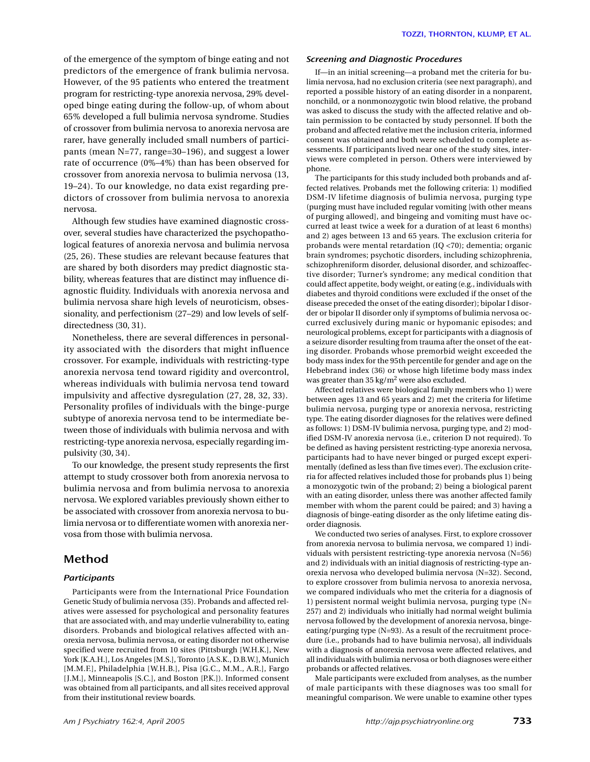of the emergence of the symptom of binge eating and not predictors of the emergence of frank bulimia nervosa. However, of the 95 patients who entered the treatment program for restricting-type anorexia nervosa, 29% developed binge eating during the follow-up, of whom about 65% developed a full bulimia nervosa syndrome. Studies of crossover from bulimia nervosa to anorexia nervosa are rarer, have generally included small numbers of participants (mean N=77, range=30–196), and suggest a lower rate of occurrence (0%–4%) than has been observed for crossover from anorexia nervosa to bulimia nervosa (13, 19–24). To our knowledge, no data exist regarding predictors of crossover from bulimia nervosa to anorexia nervosa.

Although few studies have examined diagnostic crossover, several studies have characterized the psychopathological features of anorexia nervosa and bulimia nervosa (25, 26). These studies are relevant because features that are shared by both disorders may predict diagnostic stability, whereas features that are distinct may influence diagnostic fluidity. Individuals with anorexia nervosa and bulimia nervosa share high levels of neuroticism, obsessionality, and perfectionism (27–29) and low levels of selfdirectedness (30, 31).

Nonetheless, there are several differences in personality associated with the disorders that might influence crossover. For example, individuals with restricting-type anorexia nervosa tend toward rigidity and overcontrol, whereas individuals with bulimia nervosa tend toward impulsivity and affective dysregulation (27, 28, 32, 33). Personality profiles of individuals with the binge-purge subtype of anorexia nervosa tend to be intermediate between those of individuals with bulimia nervosa and with restricting-type anorexia nervosa, especially regarding impulsivity (30, 34).

To our knowledge, the present study represents the first attempt to study crossover both from anorexia nervosa to bulimia nervosa and from bulimia nervosa to anorexia nervosa. We explored variables previously shown either to be associated with crossover from anorexia nervosa to bulimia nervosa or to differentiate women with anorexia nervosa from those with bulimia nervosa.

# **Method**

### *Participants*

Participants were from the International Price Foundation Genetic Study of bulimia nervosa (35). Probands and affected relatives were assessed for psychological and personality features that are associated with, and may underlie vulnerability to, eating disorders. Probands and biological relatives affected with anorexia nervosa, bulimia nervosa, or eating disorder not otherwise specified were recruited from 10 sites (Pittsburgh [W.H.K.], New York [K.A.H.], Los Angeles [M.S.], Toronto [A.S.K., D.B.W.], Munich [M.M.F.], Philadelphia [W.H.B.], Pisa [G.C., M.M., A.R.], Fargo [J.M.], Minneapolis [S.C.], and Boston [P.K.]). Informed consent was obtained from all participants, and all sites received approval from their institutional review boards.

## *Screening and Diagnostic Procedures*

If—in an initial screening—a proband met the criteria for bulimia nervosa, had no exclusion criteria (see next paragraph), and reported a possible history of an eating disorder in a nonparent, nonchild, or a nonmonozygotic twin blood relative, the proband was asked to discuss the study with the affected relative and obtain permission to be contacted by study personnel. If both the proband and affected relative met the inclusion criteria, informed consent was obtained and both were scheduled to complete assessments. If participants lived near one of the study sites, interviews were completed in person. Others were interviewed by phone.

The participants for this study included both probands and affected relatives. Probands met the following criteria: 1) modified DSM-IV lifetime diagnosis of bulimia nervosa, purging type (purging must have included regular vomiting [with other means of purging allowed], and bingeing and vomiting must have occurred at least twice a week for a duration of at least 6 months) and 2) ages between 13 and 65 years. The exclusion criteria for probands were mental retardation (IQ <70); dementia; organic brain syndromes; psychotic disorders, including schizophrenia, schizophreniform disorder, delusional disorder, and schizoaffective disorder; Turner's syndrome; any medical condition that could affect appetite, body weight, or eating (e.g., individuals with diabetes and thyroid conditions were excluded if the onset of the disease preceded the onset of the eating disorder); bipolar I disorder or bipolar II disorder only if symptoms of bulimia nervosa occurred exclusively during manic or hypomanic episodes; and neurological problems, except for participants with a diagnosis of a seizure disorder resulting from trauma after the onset of the eating disorder. Probands whose premorbid weight exceeded the body mass index for the 95th percentile for gender and age on the Hebebrand index (36) or whose high lifetime body mass index was greater than 35 kg/ $m^2$  were also excluded.

Affected relatives were biological family members who 1) were between ages 13 and 65 years and 2) met the criteria for lifetime bulimia nervosa, purging type or anorexia nervosa, restricting type. The eating disorder diagnoses for the relatives were defined as follows: 1) DSM-IV bulimia nervosa, purging type, and 2) modified DSM-IV anorexia nervosa (i.e., criterion D not required). To be defined as having persistent restricting-type anorexia nervosa, participants had to have never binged or purged except experimentally (defined as less than five times ever). The exclusion criteria for affected relatives included those for probands plus 1) being a monozygotic twin of the proband; 2) being a biological parent with an eating disorder, unless there was another affected family member with whom the parent could be paired; and 3) having a diagnosis of binge-eating disorder as the only lifetime eating disorder diagnosis.

We conducted two series of analyses. First, to explore crossover from anorexia nervosa to bulimia nervosa, we compared 1) individuals with persistent restricting-type anorexia nervosa (N=56) and 2) individuals with an initial diagnosis of restricting-type anorexia nervosa who developed bulimia nervosa (N=32). Second, to explore crossover from bulimia nervosa to anorexia nervosa, we compared individuals who met the criteria for a diagnosis of 1) persistent normal weight bulimia nervosa, purging type (N= 257) and 2) individuals who initially had normal weight bulimia nervosa followed by the development of anorexia nervosa, bingeeating/purging type (N=93). As a result of the recruitment procedure (i.e., probands had to have bulimia nervosa), all individuals with a diagnosis of anorexia nervosa were affected relatives, and all individuals with bulimia nervosa or both diagnoses were either probands or affected relatives.

Male participants were excluded from analyses, as the number of male participants with these diagnoses was too small for meaningful comparison. We were unable to examine other types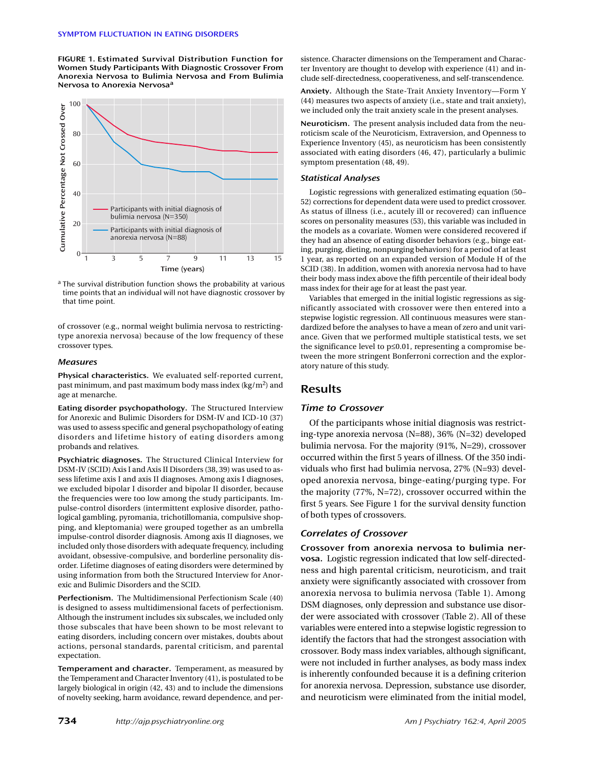**FIGURE 1. Estimated Survival Distribution Function for Women Study Participants With Diagnostic Crossover From Anorexia Nervosa to Bulimia Nervosa and From Bulimia Nervosa to Anorexia Nervosa<sup>a</sup>**



<sup>a</sup> The survival distribution function shows the probability at various time points that an individual will not have diagnostic crossover by that time point.

of crossover (e.g., normal weight bulimia nervosa to restrictingtype anorexia nervosa) because of the low frequency of these crossover types.

#### *Measures*

**Physical characteristics.** We evaluated self-reported current, past minimum, and past maximum body mass index  $(kg/m<sup>2</sup>)$  and age at menarche.

**Eating disorder psychopathology.** The Structured Interview for Anorexic and Bulimic Disorders for DSM-IV and ICD-10 (37) was used to assess specific and general psychopathology of eating disorders and lifetime history of eating disorders among probands and relatives.

**Psychiatric diagnoses.** The Structured Clinical Interview for DSM-IV (SCID) Axis I and Axis II Disorders (38, 39) was used to assess lifetime axis I and axis II diagnoses. Among axis I diagnoses, we excluded bipolar I disorder and bipolar II disorder, because the frequencies were too low among the study participants. Impulse-control disorders (intermittent explosive disorder, pathological gambling, pyromania, trichotillomania, compulsive shopping, and kleptomania) were grouped together as an umbrella impulse-control disorder diagnosis. Among axis II diagnoses, we included only those disorders with adequate frequency, including avoidant, obsessive-compulsive, and borderline personality disorder. Lifetime diagnoses of eating disorders were determined by using information from both the Structured Interview for Anorexic and Bulimic Disorders and the SCID.

**Perfectionism.** The Multidimensional Perfectionism Scale (40) is designed to assess multidimensional facets of perfectionism. Although the instrument includes six subscales, we included only those subscales that have been shown to be most relevant to eating disorders, including concern over mistakes, doubts about actions, personal standards, parental criticism, and parental expectation.

**Temperament and character.** Temperament, as measured by the Temperament and Character Inventory (41), is postulated to be largely biological in origin (42, 43) and to include the dimensions of novelty seeking, harm avoidance, reward dependence, and persistence. Character dimensions on the Temperament and Character Inventory are thought to develop with experience (41) and include self-directedness, cooperativeness, and self-transcendence.

**Anxiety.** Although the State-Trait Anxiety Inventory—Form Y (44) measures two aspects of anxiety (i.e., state and trait anxiety), we included only the trait anxiety scale in the present analyses.

**Neuroticism.** The present analysis included data from the neuroticism scale of the Neuroticism, Extraversion, and Openness to Experience Inventory (45), as neuroticism has been consistently associated with eating disorders (46, 47), particularly a bulimic symptom presentation (48, 49).

#### *Statistical Analyses*

Logistic regressions with generalized estimating equation (50– 52) corrections for dependent data were used to predict crossover. As status of illness (i.e., acutely ill or recovered) can influence scores on personality measures (53), this variable was included in the models as a covariate. Women were considered recovered if they had an absence of eating disorder behaviors (e.g., binge eating, purging, dieting, nonpurging behaviors) for a period of at least 1 year, as reported on an expanded version of Module H of the SCID (38). In addition, women with anorexia nervosa had to have their body mass index above the fifth percentile of their ideal body mass index for their age for at least the past year.

Variables that emerged in the initial logistic regressions as significantly associated with crossover were then entered into a stepwise logistic regression. All continuous measures were standardized before the analyses to have a mean of zero and unit variance. Given that we performed multiple statistical tests, we set the significance level to p≤0.01, representing a compromise between the more stringent Bonferroni correction and the exploratory nature of this study.

## **Results**

#### *Time to Crossover*

Of the participants whose initial diagnosis was restricting-type anorexia nervosa (N=88), 36% (N=32) developed bulimia nervosa. For the majority (91%, N=29), crossover occurred within the first 5 years of illness. Of the 350 individuals who first had bulimia nervosa, 27% (N=93) developed anorexia nervosa, binge-eating/purging type. For the majority (77%, N=72), crossover occurred within the first 5 years. See Figure 1 for the survival density function of both types of crossovers.

## *Correlates of Crossover*

**Crossover from anorexia nervosa to bulimia nervosa.** Logistic regression indicated that low self-directedness and high parental criticism, neuroticism, and trait anxiety were significantly associated with crossover from anorexia nervosa to bulimia nervosa (Table 1). Among DSM diagnoses, only depression and substance use disorder were associated with crossover (Table 2). All of these variables were entered into a stepwise logistic regression to identify the factors that had the strongest association with crossover. Body mass index variables, although significant, were not included in further analyses, as body mass index is inherently confounded because it is a defining criterion for anorexia nervosa. Depression, substance use disorder, and neuroticism were eliminated from the initial model,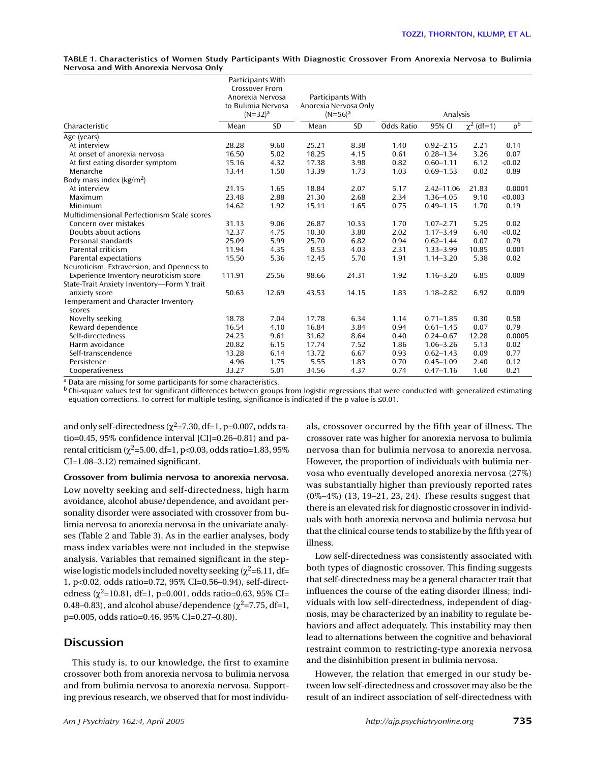| TABLE 1. Characteristics of Women Study Participants With Diagnostic Crossover From Anorexia Nervosa to Bulimia |  |  |  |  |
|-----------------------------------------------------------------------------------------------------------------|--|--|--|--|
| Nervosa and With Anorexia Nervosa Only                                                                          |  |  |  |  |

|                                             | Participants With<br><b>Crossover From</b><br>Anorexia Nervosa<br>to Bulimia Nervosa<br>$(N=32)^a$ |           | Participants With<br>Anorexia Nervosa Only<br>$(N=56)^a$ |           | Analysis          |               |                 |                |
|---------------------------------------------|----------------------------------------------------------------------------------------------------|-----------|----------------------------------------------------------|-----------|-------------------|---------------|-----------------|----------------|
| Characteristic                              | Mean                                                                                               | <b>SD</b> | Mean                                                     | <b>SD</b> | <b>Odds Ratio</b> | 95% CI        | $\chi^2$ (df=1) | p <sub>b</sub> |
| Age (years)                                 |                                                                                                    |           |                                                          |           |                   |               |                 |                |
| At interview                                | 28.28                                                                                              | 9.60      | 25.21                                                    | 8.38      | 1.40              | $0.92 - 2.15$ | 2.21            | 0.14           |
| At onset of anorexia nervosa                | 16.50                                                                                              | 5.02      | 18.25                                                    | 4.15      | 0.61              | $0.28 - 1.34$ | 3.26            | 0.07           |
| At first eating disorder symptom            | 15.16                                                                                              | 4.32      | 17.38                                                    | 3.98      | 0.82              | $0.60 - 1.11$ | 6.12            | < 0.02         |
| Menarche                                    | 13.44                                                                                              | 1.50      | 13.39                                                    | 1.73      | 1.03              | $0.69 - 1.53$ | 0.02            | 0.89           |
| Body mass index ( $kg/m2$ )                 |                                                                                                    |           |                                                          |           |                   |               |                 |                |
| At interview                                | 21.15                                                                                              | 1.65      | 18.84                                                    | 2.07      | 5.17              | 2.42-11.06    | 21.83           | 0.0001         |
| Maximum                                     | 23.48                                                                                              | 2.88      | 21.30                                                    | 2.68      | 2.34              | $1.36 - 4.05$ | 9.10            | < 0.003        |
| Minimum                                     | 14.62                                                                                              | 1.92      | 15.11                                                    | 1.65      | 0.75              | $0.49 - 1.15$ | 1.70            | 0.19           |
| Multidimensional Perfectionism Scale scores |                                                                                                    |           |                                                          |           |                   |               |                 |                |
| Concern over mistakes                       | 31.13                                                                                              | 9.06      | 26.87                                                    | 10.33     | 1.70              | $1.07 - 2.71$ | 5.25            | 0.02           |
| Doubts about actions                        | 12.37                                                                                              | 4.75      | 10.30                                                    | 3.80      | 2.02              | $1.17 - 3.49$ | 6.40            | < 0.02         |
| Personal standards                          | 25.09                                                                                              | 5.99      | 25.70                                                    | 6.82      | 0.94              | $0.62 - 1.44$ | 0.07            | 0.79           |
| Parental criticism                          | 11.94                                                                                              | 4.35      | 8.53                                                     | 4.03      | 2.31              | $1.33 - 3.99$ | 10.85           | 0.001          |
| Parental expectations                       | 15.50                                                                                              | 5.36      | 12.45                                                    | 5.70      | 1.91              | $1.14 - 3.20$ | 5.38            | 0.02           |
| Neuroticism, Extraversion, and Openness to  |                                                                                                    |           |                                                          |           |                   |               |                 |                |
| Experience Inventory neuroticism score      | 111.91                                                                                             | 25.56     | 98.66                                                    | 24.31     | 1.92              | $1.16 - 3.20$ | 6.85            | 0.009          |
| State-Trait Anxiety Inventory-Form Y trait  |                                                                                                    |           |                                                          |           |                   |               |                 |                |
| anxiety score                               | 50.63                                                                                              | 12.69     | 43.53                                                    | 14.15     | 1.83              | $1.18 - 2.82$ | 6.92            | 0.009          |
| Temperament and Character Inventory         |                                                                                                    |           |                                                          |           |                   |               |                 |                |
| scores                                      |                                                                                                    |           |                                                          |           |                   |               |                 |                |
| Novelty seeking                             | 18.78                                                                                              | 7.04      | 17.78                                                    | 6.34      | 1.14              | $0.71 - 1.85$ | 0.30            | 0.58           |
| Reward dependence                           | 16.54                                                                                              | 4.10      | 16.84                                                    | 3.84      | 0.94              | $0.61 - 1.45$ | 0.07            | 0.79           |
| Self-directedness                           | 24.23                                                                                              | 9.61      | 31.62                                                    | 8.64      | 0.40              | $0.24 - 0.67$ | 12.28           | 0.0005         |
| Harm avoidance                              | 20.82                                                                                              | 6.15      | 17.74                                                    | 7.52      | 1.86              | $1.06 - 3.26$ | 5.13            | 0.02           |
| Self-transcendence                          | 13.28                                                                                              | 6.14      | 13.72                                                    | 6.67      | 0.93              | $0.62 - 1.43$ | 0.09            | 0.77           |
| Persistence                                 | 4.96                                                                                               | 1.75      | 5.55                                                     | 1.83      | 0.70              | $0.45 - 1.09$ | 2.40            | 0.12           |
| Cooperativeness                             | 33.27                                                                                              | 5.01      | 34.56                                                    | 4.37      | 0.74              | $0.47 - 1.16$ | 1.60            | 0.21           |

<sup>a</sup> Data are missing for some participants for some characteristics.

<sup>b</sup> Chi-square values test for significant differences between groups from logistic regressions that were conducted with generalized estimating equation corrections. To correct for multiple testing, significance is indicated if the p value is ≤0.01.

and only self-directedness ( $\chi^2$ =7.30, df=1, p=0.007, odds ratio=0.45, 95% confidence interval [CI]=0.26–0.81) and parental criticism ( $\chi^2$ =5.00, df=1, p<0.03, odds ratio=1.83, 95% CI=1.08–3.12) remained significant.

**Crossover from bulimia nervosa to anorexia nervosa.** Low novelty seeking and self-directedness, high harm avoidance, alcohol abuse/dependence, and avoidant personality disorder were associated with crossover from bulimia nervosa to anorexia nervosa in the univariate analyses (Table 2 and Table 3). As in the earlier analyses, body mass index variables were not included in the stepwise analysis. Variables that remained significant in the stepwise logistic models included novelty seeking  $(\chi^2=6.11, df=$ 1, p<0.02, odds ratio=0.72, 95% CI=0.56–0.94), self-directedness ( $\chi^2$ =10.81, df=1, p=0.001, odds ratio=0.63, 95% CI= 0.48–0.83), and alcohol abuse/dependence ( $\chi^2$ =7.75, df=1, p=0.005, odds ratio=0.46, 95% CI=0.27–0.80).

# **Discussion**

This study is, to our knowledge, the first to examine crossover both from anorexia nervosa to bulimia nervosa and from bulimia nervosa to anorexia nervosa. Supporting previous research, we observed that for most individuals, crossover occurred by the fifth year of illness. The crossover rate was higher for anorexia nervosa to bulimia nervosa than for bulimia nervosa to anorexia nervosa. However, the proportion of individuals with bulimia nervosa who eventually developed anorexia nervosa (27%) was substantially higher than previously reported rates (0%–4%) (13, 19–21, 23, 24). These results suggest that there is an elevated risk for diagnostic crossover in individuals with both anorexia nervosa and bulimia nervosa but that the clinical course tends to stabilize by the fifth year of illness.

Low self-directedness was consistently associated with both types of diagnostic crossover. This finding suggests that self-directedness may be a general character trait that influences the course of the eating disorder illness; individuals with low self-directedness, independent of diagnosis, may be characterized by an inability to regulate behaviors and affect adequately. This instability may then lead to alternations between the cognitive and behavioral restraint common to restricting-type anorexia nervosa and the disinhibition present in bulimia nervosa.

However, the relation that emerged in our study between low self-directedness and crossover may also be the result of an indirect association of self-directedness with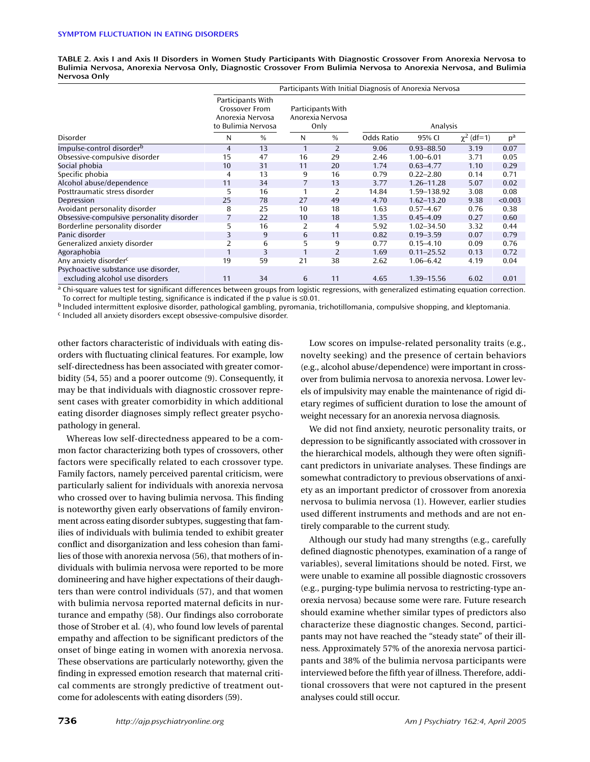**TABLE 2. Axis I and Axis II Disorders in Women Study Participants With Diagnostic Crossover From Anorexia Nervosa to Bulimia Nervosa, Anorexia Nervosa Only, Diagnostic Crossover From Bulimia Nervosa to Anorexia Nervosa, and Bulimia Nervosa Only**

|                                           | Participants With Initial Diagnosis of Anorexia Nervosa                              |    |                                               |                |            |                |                 |         |  |  |
|-------------------------------------------|--------------------------------------------------------------------------------------|----|-----------------------------------------------|----------------|------------|----------------|-----------------|---------|--|--|
|                                           | Participants With<br><b>Crossover From</b><br>Anorexia Nervosa<br>to Bulimia Nervosa |    | Participants With<br>Anorexia Nervosa<br>Only |                | Analysis   |                |                 |         |  |  |
| Disorder                                  | $\%$<br>N                                                                            |    | N                                             | $\%$           | Odds Ratio | 95% CI         | $\chi^2$ (df=1) | $p^a$   |  |  |
| Impulse-control disorder <sup>b</sup>     | 4                                                                                    | 13 | 1                                             | $\overline{2}$ | 9.06       | $0.93 - 88.50$ | 3.19            | 0.07    |  |  |
| Obsessive-compulsive disorder             | 15                                                                                   | 47 | 16                                            | 29             | 2.46       | $1.00 - 6.01$  | 3.71            | 0.05    |  |  |
| Social phobia                             | 10                                                                                   | 31 | 11                                            | 20             | 1.74       | $0.63 - 4.77$  | 1.10            | 0.29    |  |  |
| Specific phobia                           | 4                                                                                    | 13 | 9                                             | 16             | 0.79       | $0.22 - 2.80$  | 0.14            | 0.71    |  |  |
| Alcohol abuse/dependence                  | 11                                                                                   | 34 | 7                                             | 13             | 3.77       | $1.26 - 11.28$ | 5.07            | 0.02    |  |  |
| Posttraumatic stress disorder             | 5                                                                                    | 16 |                                               | $\overline{2}$ | 14.84      | 1.59-138.92    | 3.08            | 0.08    |  |  |
| Depression                                | 25                                                                                   | 78 | 27                                            | 49             | 4.70       | $1.62 - 13.20$ | 9.38            | < 0.003 |  |  |
| Avoidant personality disorder             | 8                                                                                    | 25 | 10                                            | 18             | 1.63       | $0.57 - 4.67$  | 0.76            | 0.38    |  |  |
| Obsessive-compulsive personality disorder | 7                                                                                    | 22 | 10                                            | 18             | 1.35       | $0.45 - 4.09$  | 0.27            | 0.60    |  |  |
| Borderline personality disorder           | 5                                                                                    | 16 | $\overline{2}$                                | $\overline{4}$ | 5.92       | $1.02 - 34.50$ | 3.32            | 0.44    |  |  |
| Panic disorder                            | 3                                                                                    | 9  | 6                                             | 11             | 0.82       | $0.19 - 3.59$  | 0.07            | 0.79    |  |  |
| Generalized anxiety disorder              |                                                                                      | 6  | 5                                             | 9              | 0.77       | $0.15 - 4.10$  | 0.09            | 0.76    |  |  |
| Agoraphobia                               |                                                                                      | 3  |                                               | $\overline{2}$ | 1.69       | $0.11 - 25.52$ | 0.13            | 0.72    |  |  |
| Any anxiety disorder <sup>c</sup>         | 19                                                                                   | 59 | 21                                            | 38             | 2.62       | $1.06 - 6.42$  | 4.19            | 0.04    |  |  |
| Psychoactive substance use disorder,      |                                                                                      |    |                                               |                |            |                |                 |         |  |  |
| excluding alcohol use disorders           | 11                                                                                   | 34 | 6                                             | 11             | 4.65       | 1.39-15.56     | 6.02            | 0.01    |  |  |

<sup>a</sup> Chi-square values test for significant differences between groups from logistic regressions, with generalized estimating equation correction.<br>To correct for multiple testing, significance is indicated if the p value i

<sup>b</sup> Included intermittent explosive disorder, pathological gambling, pyromania, trichotillomania, compulsive shopping, and kleptomania.<br><sup>C</sup> Included all anxiety disorders except obsessive-compulsive disorder.

other factors characteristic of individuals with eating disorders with fluctuating clinical features. For example, low self-directedness has been associated with greater comorbidity (54, 55) and a poorer outcome (9). Consequently, it may be that individuals with diagnostic crossover represent cases with greater comorbidity in which additional eating disorder diagnoses simply reflect greater psychopathology in general.

Whereas low self-directedness appeared to be a common factor characterizing both types of crossovers, other factors were specifically related to each crossover type. Family factors, namely perceived parental criticism, were particularly salient for individuals with anorexia nervosa who crossed over to having bulimia nervosa. This finding is noteworthy given early observations of family environment across eating disorder subtypes, suggesting that families of individuals with bulimia tended to exhibit greater conflict and disorganization and less cohesion than families of those with anorexia nervosa (56), that mothers of individuals with bulimia nervosa were reported to be more domineering and have higher expectations of their daughters than were control individuals (57), and that women with bulimia nervosa reported maternal deficits in nurturance and empathy (58). Our findings also corroborate those of Strober et al. (4), who found low levels of parental empathy and affection to be significant predictors of the onset of binge eating in women with anorexia nervosa. These observations are particularly noteworthy, given the finding in expressed emotion research that maternal critical comments are strongly predictive of treatment outcome for adolescents with eating disorders (59).

Low scores on impulse-related personality traits (e.g., novelty seeking) and the presence of certain behaviors (e.g., alcohol abuse/dependence) were important in crossover from bulimia nervosa to anorexia nervosa. Lower levels of impulsivity may enable the maintenance of rigid dietary regimes of sufficient duration to lose the amount of weight necessary for an anorexia nervosa diagnosis.

We did not find anxiety, neurotic personality traits, or depression to be significantly associated with crossover in the hierarchical models, although they were often significant predictors in univariate analyses. These findings are somewhat contradictory to previous observations of anxiety as an important predictor of crossover from anorexia nervosa to bulimia nervosa (1). However, earlier studies used different instruments and methods and are not entirely comparable to the current study.

Although our study had many strengths (e.g., carefully defined diagnostic phenotypes, examination of a range of variables), several limitations should be noted. First, we were unable to examine all possible diagnostic crossovers (e.g., purging-type bulimia nervosa to restricting-type anorexia nervosa) because some were rare. Future research should examine whether similar types of predictors also characterize these diagnostic changes. Second, participants may not have reached the "steady state" of their illness. Approximately 57% of the anorexia nervosa participants and 38% of the bulimia nervosa participants were interviewed before the fifth year of illness. Therefore, additional crossovers that were not captured in the present analyses could still occur.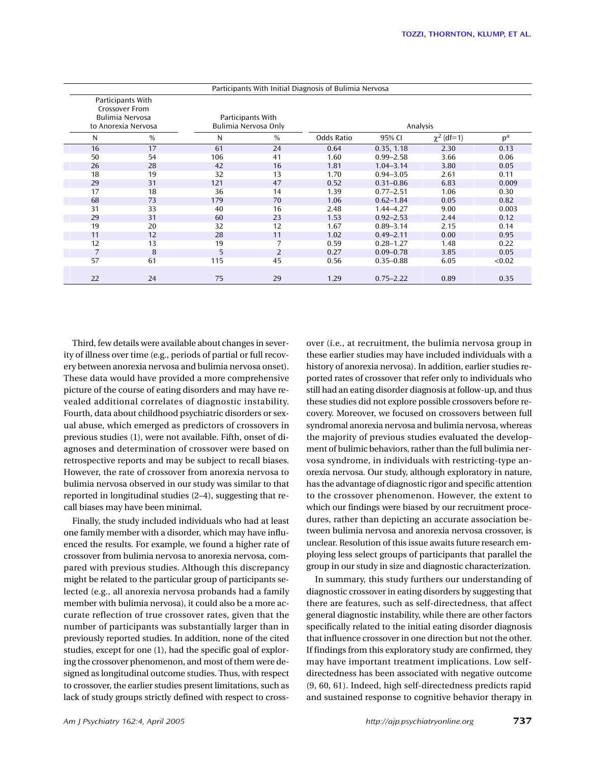| Participants With Initial Diagnosis of Bulimia Nervosa                        |      |                                           |                |            |               |                 |        |  |  |
|-------------------------------------------------------------------------------|------|-------------------------------------------|----------------|------------|---------------|-----------------|--------|--|--|
| Participants With<br>Crossover From<br>Bulimia Nervosa<br>to Anorexia Nervosa |      | Participants With<br>Bulimia Nervosa Only |                | Analysis   |               |                 |        |  |  |
| N                                                                             | $\%$ | N                                         | $\%$           | Odds Ratio | 95% CI        | $\chi^2$ (df=1) | $p^a$  |  |  |
| 16                                                                            | 17   | 61                                        | 24             | 0.64       | 0.35, 1.18    | 2.30            | 0.13   |  |  |
| 50                                                                            | 54   | 106                                       | 41             | 1.60       | $0.99 - 2.58$ | 3.66            | 0.06   |  |  |
| 26                                                                            | 28   | 42                                        | 16             | 1.81       | $1.04 - 3.14$ | 3.80            | 0.05   |  |  |
| 18                                                                            | 19   | 32                                        | 13             | 1.70       | $0.94 - 3.05$ | 2.61            | 0.11   |  |  |
| 29                                                                            | 31   | 121                                       | 47             | 0.52       | $0.31 - 0.86$ | 6.83            | 0.009  |  |  |
| 17                                                                            | 18   | 36                                        | 14             | 1.39       | $0.77 - 2.51$ | 1.06            | 0.30   |  |  |
| 68                                                                            | 73   | 179                                       | 70             | 1.06       | $0.62 - 1.84$ | 0.05            | 0.82   |  |  |
| 31                                                                            | 33   | 40                                        | 16             | 2.48       | $1.44 - 4.27$ | 9.00            | 0.003  |  |  |
| 29                                                                            | 31   | 60                                        | 23             | 1.53       | $0.92 - 2.53$ | 2.44            | 0.12   |  |  |
| 19                                                                            | 20   | 32                                        | 12             | 1.67       | $0.89 - 3.14$ | 2.15            | 0.14   |  |  |
| 11                                                                            | 12   | 28                                        | 11             | 1.02       | $0.49 - 2.11$ | 0.00            | 0.95   |  |  |
| 12                                                                            | 13   | 19                                        | 7              | 0.59       | $0.28 - 1.27$ | 1.48            | 0.22   |  |  |
| 7                                                                             | 8    | 5                                         | $\overline{2}$ | 0.27       | $0.09 - 0.78$ | 3.85            | 0.05   |  |  |
| 57                                                                            | 61   | 115                                       | 45             | 0.56       | $0.35 - 0.88$ | 6.05            | < 0.02 |  |  |
|                                                                               |      |                                           |                |            |               |                 |        |  |  |
| 22                                                                            | 24   | 75                                        | 29             | 1.29       | $0.75 - 2.22$ | 0.89            | 0.35   |  |  |

Third, few details were available about changes in severity of illness over time (e.g., periods of partial or full recovery between anorexia nervosa and bulimia nervosa onset). These data would have provided a more comprehensive picture of the course of eating disorders and may have revealed additional correlates of diagnostic instability. Fourth, data about childhood psychiatric disorders or sexual abuse, which emerged as predictors of crossovers in previous studies (1), were not available. Fifth, onset of diagnoses and determination of crossover were based on retrospective reports and may be subject to recall biases. However, the rate of crossover from anorexia nervosa to bulimia nervosa observed in our study was similar to that reported in longitudinal studies (2–4), suggesting that recall biases may have been minimal.

Finally, the study included individuals who had at least one family member with a disorder, which may have influenced the results. For example, we found a higher rate of crossover from bulimia nervosa to anorexia nervosa, compared with previous studies. Although this discrepancy might be related to the particular group of participants selected (e.g., all anorexia nervosa probands had a family member with bulimia nervosa), it could also be a more accurate reflection of true crossover rates, given that the number of participants was substantially larger than in previously reported studies. In addition, none of the cited studies, except for one (1), had the specific goal of exploring the crossover phenomenon, and most of them were designed as longitudinal outcome studies. Thus, with respect to crossover, the earlier studies present limitations, such as lack of study groups strictly defined with respect to cross-

over (i.e., at recruitment, the bulimia nervosa group in these earlier studies may have included individuals with a history of anorexia nervosa). In addition, earlier studies reported rates of crossover that refer only to individuals who still had an eating disorder diagnosis at follow-up, and thus these studies did not explore possible crossovers before recovery. Moreover, we focused on crossovers between full syndromal anorexia nervosa and bulimia nervosa, whereas the majority of previous studies evaluated the development of bulimic behaviors, rather than the full bulimia nervosa syndrome, in individuals with restricting-type anorexia nervosa. Our study, although exploratory in nature, has the advantage of diagnostic rigor and specific attention to the crossover phenomenon. However, the extent to which our findings were biased by our recruitment procedures, rather than depicting an accurate association between bulimia nervosa and anorexia nervosa crossover, is unclear. Resolution of this issue awaits future research employing less select groups of participants that parallel the group in our study in size and diagnostic characterization.

In summary, this study furthers our understanding of diagnostic crossover in eating disorders by suggesting that there are features, such as self-directedness, that affect general diagnostic instability, while there are other factors specifically related to the initial eating disorder diagnosis that influence crossover in one direction but not the other. If findings from this exploratory study are confirmed, they may have important treatment implications. Low selfdirectedness has been associated with negative outcome (9, 60, 61). Indeed, high self-directedness predicts rapid and sustained response to cognitive behavior therapy in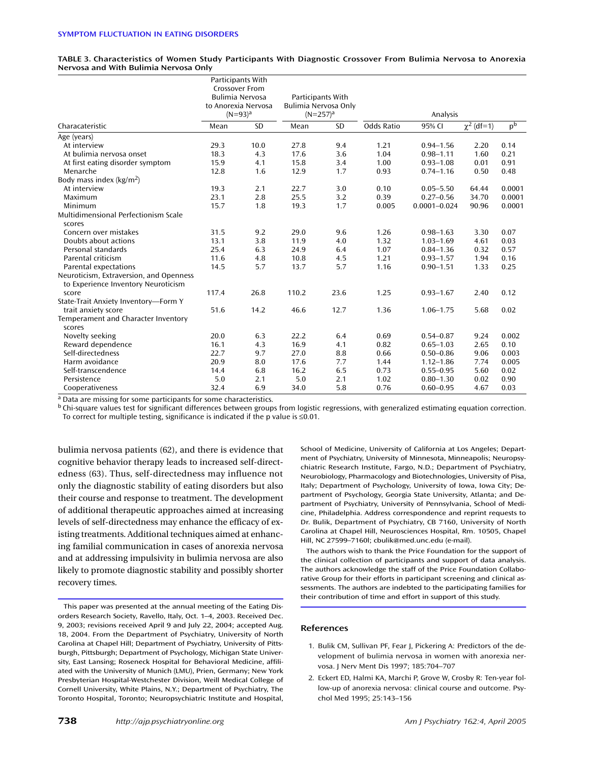|                                                                                | Participants With<br><b>Crossover From</b><br><b>Bulimia Nervosa</b><br>to Anorexia Nervosa<br>$(N=93)^a$ |           | Participants With<br>Bulimia Nervosa Only<br>$(N=257)^a$ |           | Analysis          |                  |                 |                |
|--------------------------------------------------------------------------------|-----------------------------------------------------------------------------------------------------------|-----------|----------------------------------------------------------|-----------|-------------------|------------------|-----------------|----------------|
| Characateristic                                                                | Mean                                                                                                      | <b>SD</b> | Mean                                                     | <b>SD</b> | <b>Odds Ratio</b> | 95% CI           | $\chi^2$ (df=1) | p <sup>b</sup> |
| Age (years)                                                                    |                                                                                                           |           |                                                          |           |                   |                  |                 |                |
| At interview                                                                   | 29.3                                                                                                      | 10.0      | 27.8                                                     | 9.4       | 1.21              | $0.94 - 1.56$    | 2.20            | 0.14           |
| At bulimia nervosa onset                                                       | 18.3                                                                                                      | 4.3       | 17.6                                                     | 3.6       | 1.04              | $0.98 - 1.11$    | 1.60            | 0.21           |
| At first eating disorder symptom                                               | 15.9                                                                                                      | 4.1       | 15.8                                                     | 3.4       | 1.00              | $0.93 - 1.08$    | 0.01            | 0.91           |
| Menarche                                                                       | 12.8                                                                                                      | 1.6       | 12.9                                                     | 1.7       | 0.93              | $0.74 - 1.16$    | 0.50            | 0.48           |
| Body mass index ( $kg/m2$ )                                                    |                                                                                                           |           |                                                          |           |                   |                  |                 |                |
| At interview                                                                   | 19.3                                                                                                      | 2.1       | 22.7                                                     | 3.0       | 0.10              | $0.05 - 5.50$    | 64.44           | 0.0001         |
| Maximum                                                                        | 23.1                                                                                                      | 2.8       | 25.5                                                     | 3.2       | 0.39              | $0.27 - 0.56$    | 34.70           | 0.0001         |
| Minimum                                                                        | 15.7                                                                                                      | 1.8       | 19.3                                                     | 1.7       | 0.005             | $0.0001 - 0.024$ | 90.96           | 0.0001         |
| Multidimensional Perfectionism Scale                                           |                                                                                                           |           |                                                          |           |                   |                  |                 |                |
| scores                                                                         |                                                                                                           |           |                                                          |           |                   |                  |                 |                |
| Concern over mistakes                                                          | 31.5                                                                                                      | 9.2       | 29.0                                                     | 9.6       | 1.26              | $0.98 - 1.63$    | 3.30            | 0.07           |
| Doubts about actions                                                           | 13.1                                                                                                      | 3.8       | 11.9                                                     | 4.0       | 1.32              | $1.03 - 1.69$    | 4.61            | 0.03           |
| Personal standards                                                             | 25.4                                                                                                      | 6.3       | 24.9                                                     | 6.4       | 1.07              | $0.84 - 1.36$    | 0.32            | 0.57           |
| Parental criticism                                                             | 11.6                                                                                                      | 4.8       | 10.8                                                     | 4.5       | 1.21              | $0.93 - 1.57$    | 1.94            | 0.16           |
| Parental expectations                                                          | 14.5                                                                                                      | 5.7       | 13.7                                                     | 5.7       | 1.16              | $0.90 - 1.51$    | 1.33            | 0.25           |
| Neuroticism, Extraversion, and Openness<br>to Experience Inventory Neuroticism |                                                                                                           |           |                                                          |           |                   |                  |                 |                |
| score                                                                          | 117.4                                                                                                     | 26.8      | 110.2                                                    | 23.6      | 1.25              | $0.93 - 1.67$    | 2.40            | 0.12           |
| State-Trait Anxiety Inventory-Form Y                                           |                                                                                                           |           |                                                          |           |                   |                  |                 |                |
| trait anxiety score                                                            | 51.6                                                                                                      | 14.2      | 46.6                                                     | 12.7      | 1.36              | 1.06-1.75        | 5.68            | 0.02           |
| Temperament and Character Inventory                                            |                                                                                                           |           |                                                          |           |                   |                  |                 |                |
| scores                                                                         |                                                                                                           |           |                                                          |           |                   |                  |                 |                |
| Novelty seeking                                                                | 20.0                                                                                                      | 6.3       | 22.2                                                     | 6.4       | 0.69              | $0.54 - 0.87$    | 9.24            | 0.002          |
| Reward dependence                                                              | 16.1                                                                                                      | 4.3       | 16.9                                                     | 4.1       | 0.82              | $0.65 - 1.03$    | 2.65            | 0.10           |
| Self-directedness                                                              | 22.7                                                                                                      | 9.7       | 27.0                                                     | 8.8       | 0.66              | $0.50 - 0.86$    | 9.06            | 0.003          |
| Harm avoidance                                                                 | 20.9                                                                                                      | 8.0       | 17.6                                                     | 7.7       | 1.44              | $1.12 - 1.86$    | 7.74            | 0.005          |
| Self-transcendence                                                             | 14.4                                                                                                      | 6.8       | 16.2                                                     | 6.5       | 0.73              | $0.55 - 0.95$    | 5.60            | 0.02           |
| Persistence                                                                    | 5.0                                                                                                       | 2.1       | 5.0                                                      | 2.1       | 1.02              | $0.80 - 1.30$    | 0.02            | 0.90           |
| Cooperativeness                                                                | 32.4                                                                                                      | 6.9       | 34.0                                                     | 5.8       | 0.76              | $0.60 - 0.95$    | 4.67            | 0.03           |

**TABLE 3. Characteristics of Women Study Participants With Diagnostic Crossover From Bulimia Nervosa to Anorexia Nervosa and With Bulimia Nervosa Only**

<sup>a</sup> Data are missing for some participants for some characteristics.

<sup>b</sup> Chi-square values test for significant differences between groups from logistic regressions, with generalized estimating equation correction. To correct for multiple testing, significance is indicated if the p value is ≤0.01.

bulimia nervosa patients (62), and there is evidence that cognitive behavior therapy leads to increased self-directedness (63). Thus, self-directedness may influence not only the diagnostic stability of eating disorders but also their course and response to treatment. The development of additional therapeutic approaches aimed at increasing levels of self-directedness may enhance the efficacy of existing treatments. Additional techniques aimed at enhancing familial communication in cases of anorexia nervosa and at addressing impulsivity in bulimia nervosa are also likely to promote diagnostic stability and possibly shorter recovery times.

This paper was presented at the annual meeting of the Eating Disorders Research Society, Ravello, Italy, Oct. 1–4, 2003. Received Dec. 9, 2003; revisions received April 9 and July 22, 2004; accepted Aug. 18, 2004. From the Department of Psychiatry, University of North Carolina at Chapel Hill; Department of Psychiatry, University of Pittsburgh, Pittsburgh; Department of Psychology, Michigan State University, East Lansing; Roseneck Hospital for Behavioral Medicine, affiliated with the University of Munich (LMU), Prien, Germany; New York Presbyterian Hospital-Westchester Division, Weill Medical College of Cornell University, White Plains, N.Y.; Department of Psychiatry, The Toronto Hospital, Toronto; Neuropsychiatric Institute and Hospital,

School of Medicine, University of California at Los Angeles; Department of Psychiatry, University of Minnesota, Minneapolis; Neuropsychiatric Research Institute, Fargo, N.D.; Department of Psychiatry, Neurobiology, Pharmacology and Biotechnologies, University of Pisa, Italy; Department of Psychology, University of Iowa, Iowa City; Department of Psychology, Georgia State University, Atlanta; and Department of Psychiatry, University of Pennsylvania, School of Medicine, Philadelphia. Address correspondence and reprint requests to Dr. Bulik, Department of Psychiatry, CB 7160, University of North Carolina at Chapel Hill, Neurosciences Hospital, Rm. 10505, Chapel Hill, NC 27599–7160l; cbulik@med.unc.edu (e-mail).

The authors wish to thank the Price Foundation for the support of the clinical collection of participants and support of data analysis. The authors acknowledge the staff of the Price Foundation Collaborative Group for their efforts in participant screening and clinical assessments. The authors are indebted to the participating families for their contribution of time and effort in support of this study.

## **References**

- 1. Bulik CM, Sullivan PF, Fear J, Pickering A: Predictors of the development of bulimia nervosa in women with anorexia nervosa. J Nerv Ment Dis 1997; 185:704–707
- 2. Eckert ED, Halmi KA, Marchi P, Grove W, Crosby R: Ten-year follow-up of anorexia nervosa: clinical course and outcome. Psychol Med 1995; 25:143–156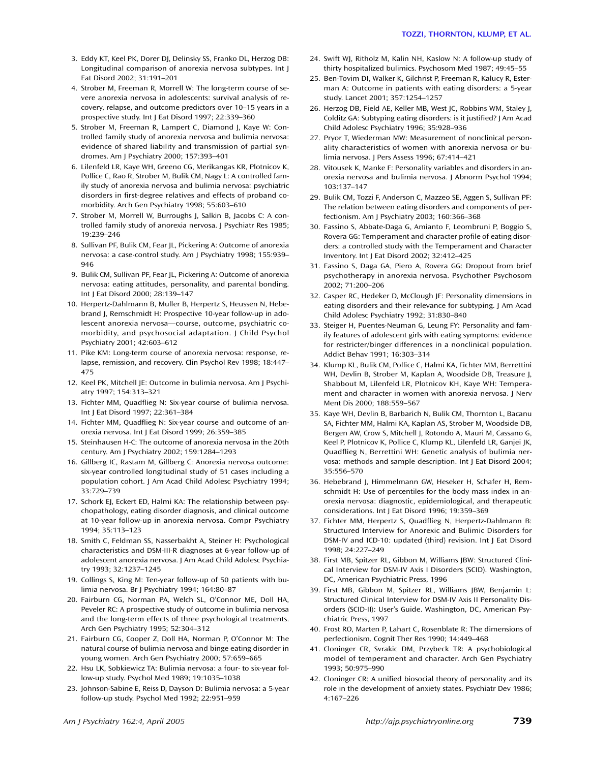- 3. Eddy KT, Keel PK, Dorer DJ, Delinsky SS, Franko DL, Herzog DB: Longitudinal comparison of anorexia nervosa subtypes. Int J Eat Disord 2002; 31:191–201
- 4. Strober M, Freeman R, Morrell W: The long-term course of severe anorexia nervosa in adolescents: survival analysis of recovery, relapse, and outcome predictors over 10–15 years in a prospective study. Int J Eat Disord 1997; 22:339–360
- 5. Strober M, Freeman R, Lampert C, Diamond J, Kaye W: Controlled family study of anorexia nervosa and bulimia nervosa: evidence of shared liability and transmission of partial syndromes. Am J Psychiatry 2000; 157:393–401
- 6. Lilenfeld LR, Kaye WH, Greeno CG, Merikangas KR, Plotnicov K, Pollice C, Rao R, Strober M, Bulik CM, Nagy L: A controlled family study of anorexia nervosa and bulimia nervosa: psychiatric disorders in first-degree relatives and effects of proband comorbidity. Arch Gen Psychiatry 1998; 55:603–610
- 7. Strober M, Morrell W, Burroughs J, Salkin B, Jacobs C: A controlled family study of anorexia nervosa. J Psychiatr Res 1985; 19:239–246
- 8. Sullivan PF, Bulik CM, Fear JL, Pickering A: Outcome of anorexia nervosa: a case-control study. Am J Psychiatry 1998; 155:939– 946
- 9. Bulik CM, Sullivan PF, Fear JL, Pickering A: Outcome of anorexia nervosa: eating attitudes, personality, and parental bonding. Int J Eat Disord 2000; 28:139–147
- 10. Herpertz-Dahlmann B, Muller B, Herpertz S, Heussen N, Hebebrand J, Remschmidt H: Prospective 10-year follow-up in adolescent anorexia nervosa—course, outcome, psychiatric comorbidity, and psychosocial adaptation. J Child Psychol Psychiatry 2001; 42:603–612
- 11. Pike KM: Long-term course of anorexia nervosa: response, relapse, remission, and recovery. Clin Psychol Rev 1998; 18:447– 475
- 12. Keel PK, Mitchell JE: Outcome in bulimia nervosa. Am J Psychiatry 1997; 154:313–321
- 13. Fichter MM, Quadflieg N: Six-year course of bulimia nervosa. Int J Eat Disord 1997; 22:361–384
- 14. Fichter MM, Quadflieg N: Six-year course and outcome of anorexia nervosa. Int J Eat Disord 1999; 26:359–385
- 15. Steinhausen H-C: The outcome of anorexia nervosa in the 20th century. Am J Psychiatry 2002; 159:1284–1293
- 16. Gillberg IC, Rastam M, Gillberg C: Anorexia nervosa outcome: six-year controlled longitudinal study of 51 cases including a population cohort. J Am Acad Child Adolesc Psychiatry 1994; 33:729–739
- 17. Schork EJ, Eckert ED, Halmi KA: The relationship between psychopathology, eating disorder diagnosis, and clinical outcome at 10-year follow-up in anorexia nervosa. Compr Psychiatry 1994; 35:113–123
- 18. Smith C, Feldman SS, Nasserbakht A, Steiner H: Psychological characteristics and DSM-III-R diagnoses at 6-year follow-up of adolescent anorexia nervosa. J Am Acad Child Adolesc Psychiatry 1993; 32:1237–1245
- 19. Collings S, King M: Ten-year follow-up of 50 patients with bulimia nervosa. Br J Psychiatry 1994; 164:80–87
- 20. Fairburn CG, Norman PA, Welch SL, O'Connor ME, Doll HA, Peveler RC: A prospective study of outcome in bulimia nervosa and the long-term effects of three psychological treatments. Arch Gen Psychiatry 1995; 52:304–312
- 21. Fairburn CG, Cooper Z, Doll HA, Norman P, O'Connor M: The natural course of bulimia nervosa and binge eating disorder in young women. Arch Gen Psychiatry 2000; 57:659–665
- 22. Hsu LK, Sobkiewicz TA: Bulimia nervosa: a four- to six-year follow-up study. Psychol Med 1989; 19:1035–1038
- 23. Johnson-Sabine E, Reiss D, Dayson D: Bulimia nervosa: a 5-year follow-up study. Psychol Med 1992; 22:951–959
- 24. Swift WJ, Ritholz M, Kalin NH, Kaslow N: A follow-up study of thirty hospitalized bulimics. Psychosom Med 1987; 49:45–55
- 25. Ben-Tovim DI, Walker K, Gilchrist P, Freeman R, Kalucy R, Esterman A: Outcome in patients with eating disorders: a 5-year study. Lancet 2001; 357:1254–1257
- 26. Herzog DB, Field AE, Keller MB, West JC, Robbins WM, Staley J, Colditz GA: Subtyping eating disorders: is it justified? J Am Acad Child Adolesc Psychiatry 1996; 35:928–936
- 27. Pryor T, Wiederman MW: Measurement of nonclinical personality characteristics of women with anorexia nervosa or bulimia nervosa. J Pers Assess 1996; 67:414–421
- 28. Vitousek K, Manke F: Personality variables and disorders in anorexia nervosa and bulimia nervosa. J Abnorm Psychol 1994; 103:137–147
- 29. Bulik CM, Tozzi F, Anderson C, Mazzeo SE, Aggen S, Sullivan PF: The relation between eating disorders and components of perfectionism. Am J Psychiatry 2003; 160:366–368
- 30. Fassino S, Abbate-Daga G, Amianto F, Leombruni P, Boggio S, Rovera GG: Temperament and character profile of eating disorders: a controlled study with the Temperament and Character Inventory. Int J Eat Disord 2002; 32:412–425
- 31. Fassino S, Daga GA, Piero A, Rovera GG: Dropout from brief psychotherapy in anorexia nervosa. Psychother Psychosom 2002; 71:200–206
- 32. Casper RC, Hedeker D, McClough JF: Personality dimensions in eating disorders and their relevance for subtyping. J Am Acad Child Adolesc Psychiatry 1992; 31:830–840
- 33. Steiger H, Puentes-Neuman G, Leung FY: Personality and family features of adolescent girls with eating symptoms: evidence for restricter/binger differences in a nonclinical population. Addict Behav 1991; 16:303–314
- 34. Klump KL, Bulik CM, Pollice C, Halmi KA, Fichter MM, Berrettini WH, Devlin B, Strober M, Kaplan A, Woodside DB, Treasure J, Shabbout M, Lilenfeld LR, Plotnicov KH, Kaye WH: Temperament and character in women with anorexia nervosa. J Nerv Ment Dis 2000; 188:559–567
- 35. Kaye WH, Devlin B, Barbarich N, Bulik CM, Thornton L, Bacanu SA, Fichter MM, Halmi KA, Kaplan AS, Strober M, Woodside DB, Bergen AW, Crow S, Mitchell J, Rotondo A, Mauri M, Cassano G, Keel P, Plotnicov K, Pollice C, Klump KL, Lilenfeld LR, Ganjei JK, Quadflieg N, Berrettini WH: Genetic analysis of bulimia nervosa: methods and sample description. Int J Eat Disord 2004; 35:556–570
- 36. Hebebrand J, Himmelmann GW, Heseker H, Schafer H, Remschmidt H: Use of percentiles for the body mass index in anorexia nervosa: diagnostic, epidemiological, and therapeutic considerations. Int J Eat Disord 1996; 19:359–369
- 37. Fichter MM, Herpertz S, Quadflieg N, Herpertz-Dahlmann B: Structured Interview for Anorexic and Bulimic Disorders for DSM-IV and ICD-10: updated (third) revision. Int J Eat Disord 1998; 24:227–249
- 38. First MB, Spitzer RL, Gibbon M, Williams JBW: Structured Clinical Interview for DSM-IV Axis I Disorders (SCID). Washington, DC, American Psychiatric Press, 1996
- 39. First MB, Gibbon M, Spitzer RL, Williams JBW, Benjamin L: Structured Clinical Interview for DSM-IV Axis II Personality Disorders (SCID-II): User's Guide. Washington, DC, American Psychiatric Press, 1997
- 40. Frost RO, Marten P, Lahart C, Rosenblate R: The dimensions of perfectionism. Cognit Ther Res 1990; 14:449–468
- 41. Cloninger CR, Svrakic DM, Przybeck TR: A psychobiological model of temperament and character. Arch Gen Psychiatry 1993; 50:975–990
- 42. Cloninger CR: A unified biosocial theory of personality and its role in the development of anxiety states. Psychiatr Dev 1986; 4:167–226